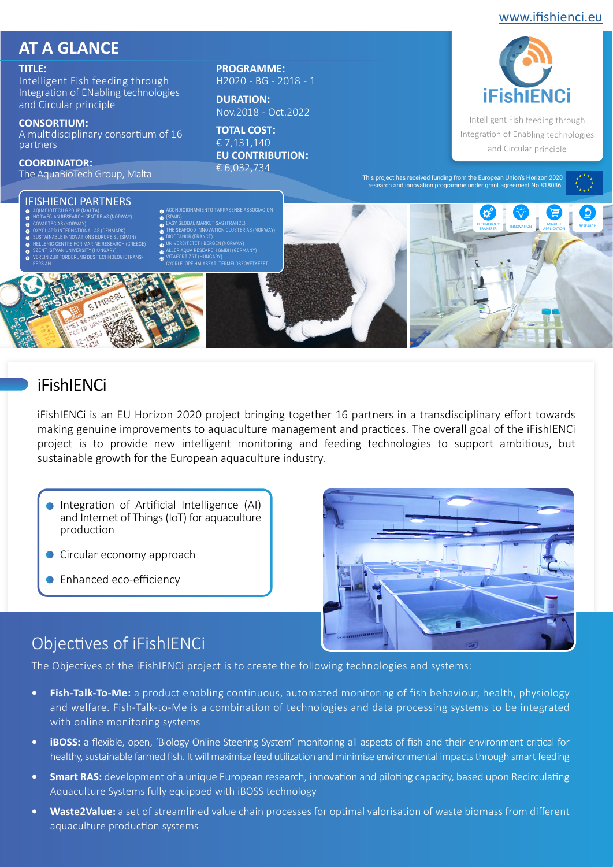### [www.ifishienci.eu](http://ifishienci.eu/)

# **AT A GLANCE**

#### **TITLE:**

Intelligent Fish feeding through Integration of ENabling technologies and Circular principle

#### **CONSORTIUM:**

A multidisciplinary consortium of 16 partners

**COORDINATOR:** 

**PROGRAMME:**  H2020 - BG - 2018 - 1

**DURATION:**  Nov.2018 - Oct.2022

**TOTAL COST:**  € 7,131,140 **EU CONTRIBUTION:**  € 6,032,734



Intelligent Fish feeding through Integration of Enabling technologies and Circular principle



## iFishIENCi

iFishIENCi is an EU Horizon 2020 project bringing together 16 partners in a transdisciplinary effort towards making genuine improvements to aquaculture management and practices. The overall goal of the iFishIENCi project is to provide new intelligent monitoring and feeding technologies to support ambitious, but sustainable growth for the European aquaculture industry.

- Integration of Artificial Intelligence (AI) and Internet of Things (IoT) for aquaculture production
- Circular economy approach
- **Enhanced eco-efficiency**



# Objectives of iFishIENCi

The Objectives of the iFishIENCi project is to create the following technologies and systems:

- **• Fish-Talk-To-Me:** a product enabling continuous, automated monitoring of fish behaviour, health, physiology and welfare. Fish-Talk-to-Me is a combination of technologies and data processing systems to be integrated with online monitoring systems
- **• iBOSS:** a flexible, open, 'Biology Online Steering System' monitoring all aspects of fish and their environment critical for healthy, sustainable farmed fish. It will maximise feed utilization and minimise environmental impacts through smart feeding
- **•• Smart RAS:** development of a unique European research, innovation and piloting capacity, based upon Recirculating Aquaculture Systems fully equipped with iBOSS technology
- **• Waste2Value:** a set of streamlined value chain processes for optimal valorisation of waste biomass from different aquaculture production systems